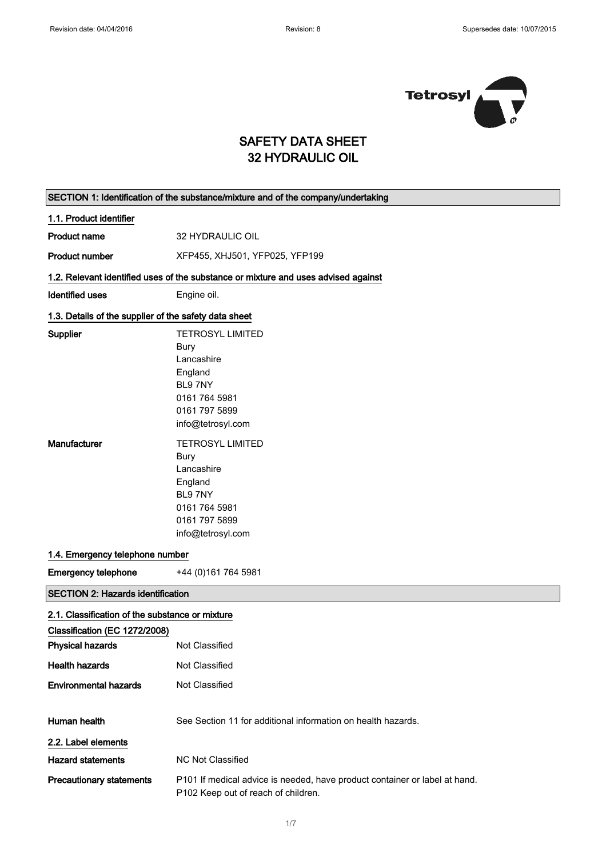$\Gamma$ 

 $\overline{\phantom{0}}$ 



### SAFETY DATA SHEET 32 HYDRAULIC OIL

|                                                       | SECTION 1: Identification of the substance/mixture and of the company/undertaking                                 |
|-------------------------------------------------------|-------------------------------------------------------------------------------------------------------------------|
| 1.1. Product identifier                               |                                                                                                                   |
| <b>Product name</b>                                   | 32 HYDRAULIC OIL                                                                                                  |
| <b>Product number</b>                                 | XFP455, XHJ501, YFP025, YFP199                                                                                    |
|                                                       | 1.2. Relevant identified uses of the substance or mixture and uses advised against                                |
| <b>Identified uses</b>                                | Engine oil.                                                                                                       |
| 1.3. Details of the supplier of the safety data sheet |                                                                                                                   |
| Supplier                                              | <b>TETROSYL LIMITED</b>                                                                                           |
|                                                       | <b>Bury</b>                                                                                                       |
|                                                       | Lancashire                                                                                                        |
|                                                       | England                                                                                                           |
|                                                       | BL97NY                                                                                                            |
|                                                       | 0161 764 5981                                                                                                     |
|                                                       | 0161 797 5899                                                                                                     |
|                                                       | info@tetrosyl.com                                                                                                 |
|                                                       |                                                                                                                   |
| Manufacturer                                          | <b>TETROSYL LIMITED</b>                                                                                           |
|                                                       | Bury                                                                                                              |
|                                                       | Lancashire                                                                                                        |
|                                                       | England                                                                                                           |
|                                                       | BL97NY                                                                                                            |
|                                                       | 0161 764 5981                                                                                                     |
|                                                       | 0161 797 5899                                                                                                     |
|                                                       | info@tetrosyl.com                                                                                                 |
| 1.4. Emergency telephone number                       |                                                                                                                   |
| <b>Emergency telephone</b>                            | +44 (0) 161 764 5981                                                                                              |
| <b>SECTION 2: Hazards identification</b>              |                                                                                                                   |
| 2.1. Classification of the substance or mixture       |                                                                                                                   |
| Classification (EC 1272/2008)                         |                                                                                                                   |
| <b>Physical hazards</b>                               | Not Classified                                                                                                    |
| <b>Health hazards</b>                                 | Not Classified                                                                                                    |
| <b>Environmental hazards</b>                          | Not Classified                                                                                                    |
|                                                       |                                                                                                                   |
| Human health                                          | See Section 11 for additional information on health hazards.                                                      |
| 2.2. Label elements                                   |                                                                                                                   |
| <b>Hazard statements</b>                              | NC Not Classified                                                                                                 |
| <b>Precautionary statements</b>                       | P101 If medical advice is needed, have product container or label at hand.<br>P102 Keep out of reach of children. |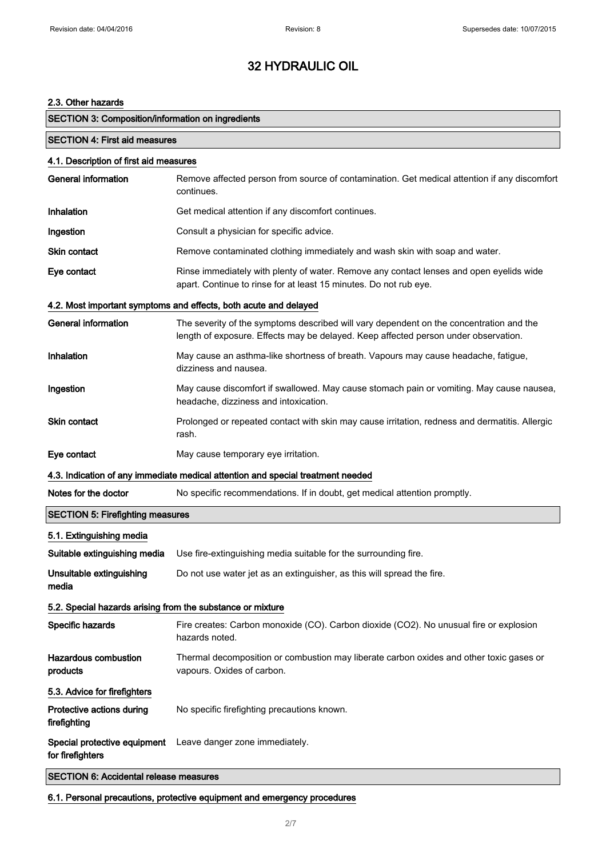### 2.3. Other hazards

| <b>SECTION 3: Composition/information on ingredients</b>   |                                                                                                                                                                                |
|------------------------------------------------------------|--------------------------------------------------------------------------------------------------------------------------------------------------------------------------------|
| <b>SECTION 4: First aid measures</b>                       |                                                                                                                                                                                |
| 4.1. Description of first aid measures                     |                                                                                                                                                                                |
| <b>General information</b>                                 | Remove affected person from source of contamination. Get medical attention if any discomfort<br>continues.                                                                     |
| Inhalation                                                 | Get medical attention if any discomfort continues.                                                                                                                             |
| Ingestion                                                  | Consult a physician for specific advice.                                                                                                                                       |
| <b>Skin contact</b>                                        | Remove contaminated clothing immediately and wash skin with soap and water.                                                                                                    |
| Eye contact                                                | Rinse immediately with plenty of water. Remove any contact lenses and open eyelids wide<br>apart. Continue to rinse for at least 15 minutes. Do not rub eye.                   |
|                                                            | 4.2. Most important symptoms and effects, both acute and delayed                                                                                                               |
| <b>General information</b>                                 | The severity of the symptoms described will vary dependent on the concentration and the<br>length of exposure. Effects may be delayed. Keep affected person under observation. |
| Inhalation                                                 | May cause an asthma-like shortness of breath. Vapours may cause headache, fatigue,<br>dizziness and nausea.                                                                    |
| Ingestion                                                  | May cause discomfort if swallowed. May cause stomach pain or vomiting. May cause nausea,<br>headache, dizziness and intoxication.                                              |
| Skin contact                                               | Prolonged or repeated contact with skin may cause irritation, redness and dermatitis. Allergic<br>rash.                                                                        |
| Eye contact                                                | May cause temporary eye irritation.                                                                                                                                            |
|                                                            | 4.3. Indication of any immediate medical attention and special treatment needed                                                                                                |
| Notes for the doctor                                       | No specific recommendations. If in doubt, get medical attention promptly.                                                                                                      |
| <b>SECTION 5: Firefighting measures</b>                    |                                                                                                                                                                                |
| 5.1. Extinguishing media                                   |                                                                                                                                                                                |
| Suitable extinguishing media                               | Use fire-extinguishing media suitable for the surrounding fire.                                                                                                                |
| Unsuitable extinguishing<br>media                          | Do not use water jet as an extinguisher, as this will spread the fire.                                                                                                         |
| 5.2. Special hazards arising from the substance or mixture |                                                                                                                                                                                |
| Specific hazards                                           | Fire creates: Carbon monoxide (CO). Carbon dioxide (CO2). No unusual fire or explosion<br>hazards noted.                                                                       |
| <b>Hazardous combustion</b><br>products                    | Thermal decomposition or combustion may liberate carbon oxides and other toxic gases or<br>vapours. Oxides of carbon.                                                          |
| 5.3. Advice for firefighters                               |                                                                                                                                                                                |
| Protective actions during<br>firefighting                  | No specific firefighting precautions known.                                                                                                                                    |
| Special protective equipment<br>for firefighters           | Leave danger zone immediately.                                                                                                                                                 |
| <b>SECTION 6: Accidental release measures</b>              |                                                                                                                                                                                |

6.1. Personal precautions, protective equipment and emergency procedures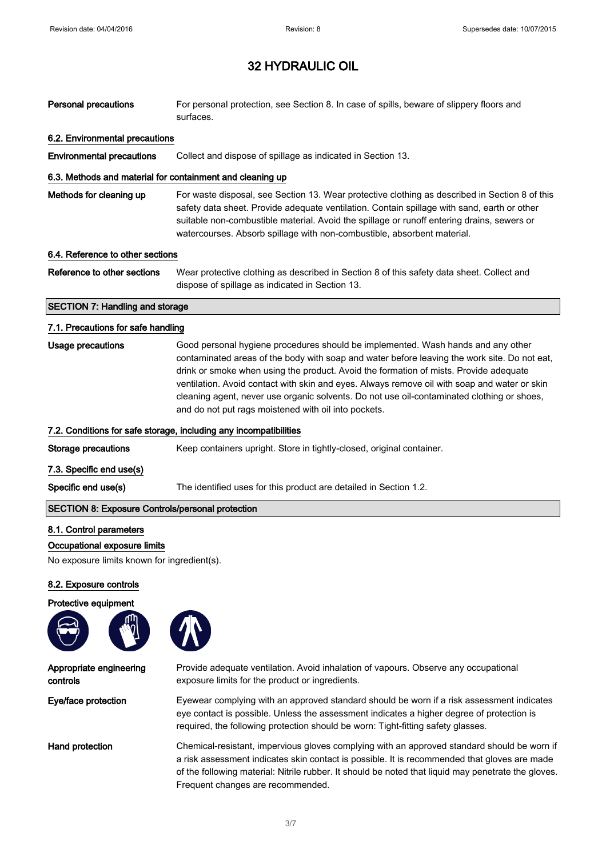| <b>Personal precautions</b>                               | For personal protection, see Section 8. In case of spills, beware of slippery floors and<br>surfaces.                                                                                                                                                                                                                                                                                                                                                                                                                           |
|-----------------------------------------------------------|---------------------------------------------------------------------------------------------------------------------------------------------------------------------------------------------------------------------------------------------------------------------------------------------------------------------------------------------------------------------------------------------------------------------------------------------------------------------------------------------------------------------------------|
| 6.2. Environmental precautions                            |                                                                                                                                                                                                                                                                                                                                                                                                                                                                                                                                 |
| <b>Environmental precautions</b>                          | Collect and dispose of spillage as indicated in Section 13.                                                                                                                                                                                                                                                                                                                                                                                                                                                                     |
| 6.3. Methods and material for containment and cleaning up |                                                                                                                                                                                                                                                                                                                                                                                                                                                                                                                                 |
| Methods for cleaning up                                   | For waste disposal, see Section 13. Wear protective clothing as described in Section 8 of this<br>safety data sheet. Provide adequate ventilation. Contain spillage with sand, earth or other<br>suitable non-combustible material. Avoid the spillage or runoff entering drains, sewers or<br>watercourses. Absorb spillage with non-combustible, absorbent material.                                                                                                                                                          |
| 6.4. Reference to other sections                          |                                                                                                                                                                                                                                                                                                                                                                                                                                                                                                                                 |
| Reference to other sections                               | Wear protective clothing as described in Section 8 of this safety data sheet. Collect and<br>dispose of spillage as indicated in Section 13.                                                                                                                                                                                                                                                                                                                                                                                    |
| <b>SECTION 7: Handling and storage</b>                    |                                                                                                                                                                                                                                                                                                                                                                                                                                                                                                                                 |
| 7.1. Precautions for safe handling                        |                                                                                                                                                                                                                                                                                                                                                                                                                                                                                                                                 |
| <b>Usage precautions</b>                                  | Good personal hygiene procedures should be implemented. Wash hands and any other<br>contaminated areas of the body with soap and water before leaving the work site. Do not eat,<br>drink or smoke when using the product. Avoid the formation of mists. Provide adequate<br>ventilation. Avoid contact with skin and eyes. Always remove oil with soap and water or skin<br>cleaning agent, never use organic solvents. Do not use oil-contaminated clothing or shoes,<br>and do not put rags moistened with oil into pockets. |
|                                                           | 7.2. Conditions for safe storage, including any incompatibilities                                                                                                                                                                                                                                                                                                                                                                                                                                                               |
| <b>Storage precautions</b>                                | Keep containers upright. Store in tightly-closed, original container.                                                                                                                                                                                                                                                                                                                                                                                                                                                           |
| 7.3. Specific end use(s)                                  |                                                                                                                                                                                                                                                                                                                                                                                                                                                                                                                                 |
| Specific end use(s)                                       | The identified uses for this product are detailed in Section 1.2.                                                                                                                                                                                                                                                                                                                                                                                                                                                               |
| <b>SECTION 8: Exposure Controls/personal protection</b>   |                                                                                                                                                                                                                                                                                                                                                                                                                                                                                                                                 |
| 8.1. Control parameters                                   |                                                                                                                                                                                                                                                                                                                                                                                                                                                                                                                                 |
| Occupational exposure limits                              |                                                                                                                                                                                                                                                                                                                                                                                                                                                                                                                                 |

No exposure limits known for ingredient(s).

#### 8.2. Exposure controls

#### Protective equipment



Appropriate engineering

controls

 $\Bigg]$ 



Provide adequate ventilation. Avoid inhalation of vapours. Observe any occupational exposure limits for the product or ingredients.

Eye/face protection Eyewear complying with an approved standard should be worn if a risk assessment indicates eye contact is possible. Unless the assessment indicates a higher degree of protection is required, the following protection should be worn: Tight-fitting safety glasses.

Hand protection Chemical-resistant, impervious gloves complying with an approved standard should be worn if a risk assessment indicates skin contact is possible. It is recommended that gloves are made of the following material: Nitrile rubber. It should be noted that liquid may penetrate the gloves. Frequent changes are recommended.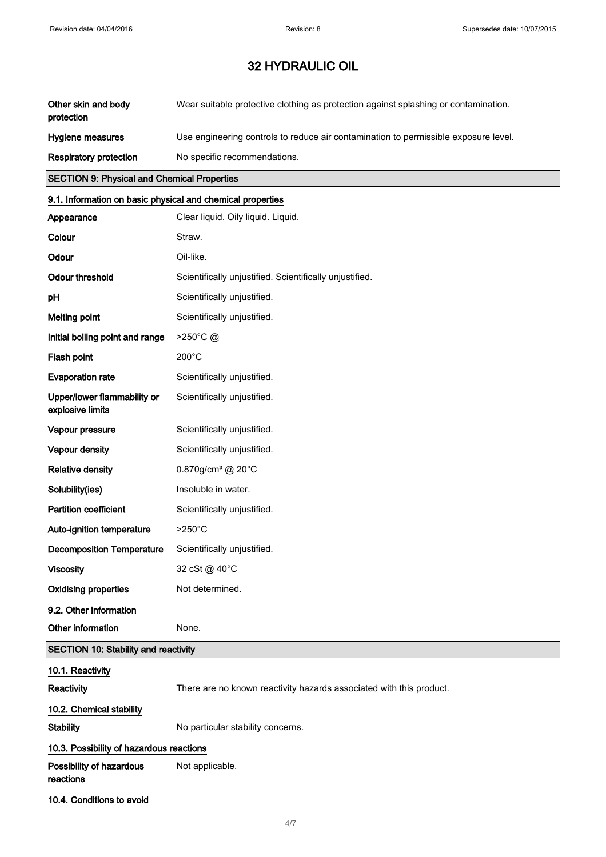| Other skin and body<br>protection | Wear suitable protective clothing as protection against splashing or contamination. |
|-----------------------------------|-------------------------------------------------------------------------------------|
| Hygiene measures                  | Use engineering controls to reduce air contamination to permissible exposure level. |
| Respiratory protection            | No specific recommendations.                                                        |

### SECTION 9: Physical and Chemical Properties

## 9.1. Information on basic physical and chemical properties

| Appearance                                      | Clear liquid. Oily liquid. Liquid.                                  |
|-------------------------------------------------|---------------------------------------------------------------------|
| Colour                                          | Straw.                                                              |
| Odour                                           | Oil-like.                                                           |
| <b>Odour threshold</b>                          | Scientifically unjustified. Scientifically unjustified.             |
| pH                                              | Scientifically unjustified.                                         |
| <b>Melting point</b>                            | Scientifically unjustified.                                         |
| Initial boiling point and range                 | >250°C@                                                             |
| Flash point                                     | 200°C                                                               |
| <b>Evaporation rate</b>                         | Scientifically unjustified.                                         |
| Upper/lower flammability or<br>explosive limits | Scientifically unjustified.                                         |
| Vapour pressure                                 | Scientifically unjustified.                                         |
| Vapour density                                  | Scientifically unjustified.                                         |
| <b>Relative density</b>                         | 0.870g/cm <sup>3</sup> @ 20°C                                       |
| Solubility(ies)                                 | Insoluble in water.                                                 |
| <b>Partition coefficient</b>                    | Scientifically unjustified.                                         |
| Auto-ignition temperature                       | $>250^{\circ}$ C                                                    |
| <b>Decomposition Temperature</b>                | Scientifically unjustified.                                         |
| <b>Viscosity</b>                                | 32 cSt @ 40°C                                                       |
| <b>Oxidising properties</b>                     | Not determined.                                                     |
| 9.2. Other information                          |                                                                     |
| Other information                               | None.                                                               |
| <b>SECTION 10: Stability and reactivity</b>     |                                                                     |
| 10.1. Reactivity                                |                                                                     |
| Reactivity                                      | There are no known reactivity hazards associated with this product. |
| 10.2. Chemical stability                        |                                                                     |
| <b>Stability</b>                                | No particular stability concerns.                                   |
| 10.3. Possibility of hazardous reactions        |                                                                     |
| Possibility of hazardous<br>reactions           | Not applicable.                                                     |
| 10.4. Conditions to avoid                       |                                                                     |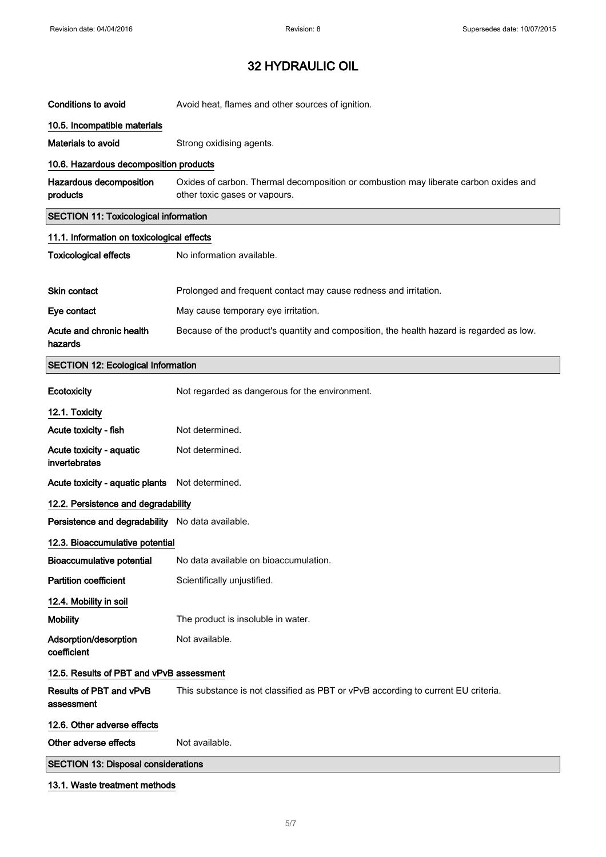| <b>Conditions to avoid</b>                       | Avoid heat, flames and other sources of ignition.                                                                     |
|--------------------------------------------------|-----------------------------------------------------------------------------------------------------------------------|
| 10.5. Incompatible materials                     |                                                                                                                       |
| Materials to avoid                               | Strong oxidising agents.                                                                                              |
| 10.6. Hazardous decomposition products           |                                                                                                                       |
| Hazardous decomposition<br>products              | Oxides of carbon. Thermal decomposition or combustion may liberate carbon oxides and<br>other toxic gases or vapours. |
| <b>SECTION 11: Toxicological information</b>     |                                                                                                                       |
| 11.1. Information on toxicological effects       |                                                                                                                       |
| <b>Toxicological effects</b>                     | No information available.                                                                                             |
| <b>Skin contact</b>                              | Prolonged and frequent contact may cause redness and irritation.                                                      |
| Eye contact                                      | May cause temporary eye irritation.                                                                                   |
| Acute and chronic health                         | Because of the product's quantity and composition, the health hazard is regarded as low.                              |
| hazards                                          |                                                                                                                       |
| <b>SECTION 12: Ecological Information</b>        |                                                                                                                       |
| Ecotoxicity                                      | Not regarded as dangerous for the environment.                                                                        |
| 12.1. Toxicity                                   |                                                                                                                       |
| Acute toxicity - fish                            | Not determined.                                                                                                       |
| Acute toxicity - aquatic<br>invertebrates        | Not determined.                                                                                                       |
| Acute toxicity - aquatic plants                  | Not determined.                                                                                                       |
| 12.2. Persistence and degradability              |                                                                                                                       |
| Persistence and degradability No data available. |                                                                                                                       |
| 12.3. Bioaccumulative potential                  |                                                                                                                       |
| <b>Bioaccumulative potential</b>                 | No data available on bioaccumulation.                                                                                 |
| <b>Partition coefficient</b>                     | Scientifically unjustified.                                                                                           |
| 12.4. Mobility in soil                           |                                                                                                                       |
| <b>Mobility</b>                                  | The product is insoluble in water.                                                                                    |
| Adsorption/desorption<br>coefficient             | Not available.                                                                                                        |
| 12.5. Results of PBT and vPvB assessment         |                                                                                                                       |
| Results of PBT and vPvB<br>assessment            | This substance is not classified as PBT or vPvB according to current EU criteria.                                     |
| 12.6. Other adverse effects                      |                                                                                                                       |
| Other adverse effects                            | Not available.                                                                                                        |
| <b>SECTION 13: Disposal considerations</b>       |                                                                                                                       |
| 13.1. Waste treatment methods                    |                                                                                                                       |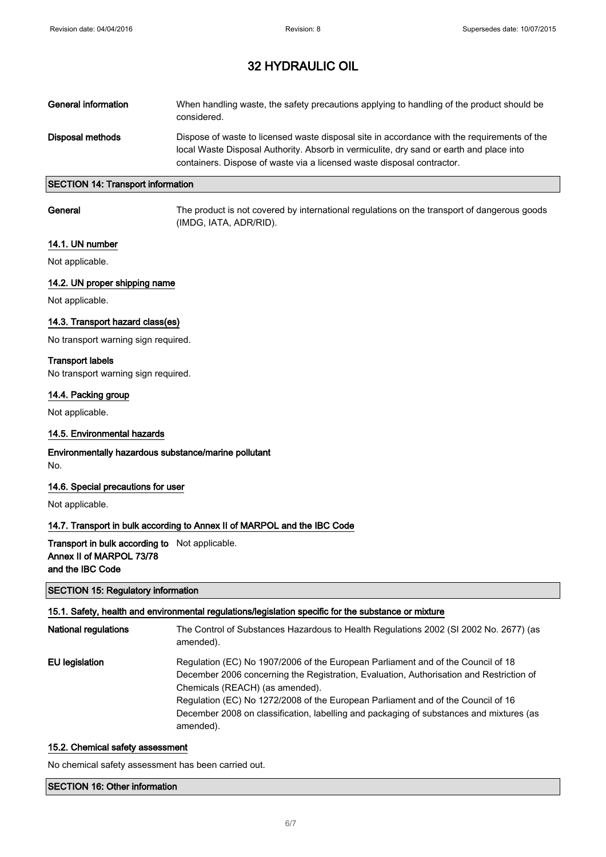| General information | When handling waste, the safety precautions applying to handling of the product should be<br>considered.                                                                                                                                                         |
|---------------------|------------------------------------------------------------------------------------------------------------------------------------------------------------------------------------------------------------------------------------------------------------------|
| Disposal methods    | Dispose of waste to licensed waste disposal site in accordance with the requirements of the<br>local Waste Disposal Authority. Absorb in vermiculite, dry sand or earth and place into<br>containers. Dispose of waste via a licensed waste disposal contractor. |

### SECTION 14: Transport information

General The product is not covered by international regulations on the transport of dangerous goods (IMDG, IATA, ADR/RID).

#### 14.1. UN number

Not applicable.

#### 14.2. UN proper shipping name

Not applicable.

#### 14.3. Transport hazard class(es)

No transport warning sign required.

#### Transport labels

No transport warning sign required.

#### 14.4. Packing group

Not applicable.

#### 14.5. Environmental hazards

Environmentally hazardous substance/marine pollutant No.

#### 14.6. Special precautions for user

Not applicable.

#### 14.7. Transport in bulk according to Annex II of MARPOL and the IBC Code

### Transport in bulk according to Not applicable. Annex II of MARPOL 73/78 and the IBC Code

#### SECTION 15: Regulatory information

#### 15.1. Safety, health and environmental regulations/legislation specific for the substance or mixture

| <b>National regulations</b> | The Control of Substances Hazardous to Health Regulations 2002 (SI 2002 No. 2677) (as<br>amended). |
|-----------------------------|----------------------------------------------------------------------------------------------------|
| EU legislation              | Regulation (EC) No 1907/2006 of the European Parliament and of the Council of 18                   |
|                             | December 2006 concerning the Registration, Evaluation, Authorisation and Restriction of            |
|                             | Chemicals (REACH) (as amended).                                                                    |
|                             | Regulation (EC) No 1272/2008 of the European Parliament and of the Council of 16                   |
|                             | December 2008 on classification, labelling and packaging of substances and mixtures (as            |
|                             | amended).                                                                                          |

#### 15.2. Chemical safety assessment

No chemical safety assessment has been carried out.

#### SECTION 16: Other information